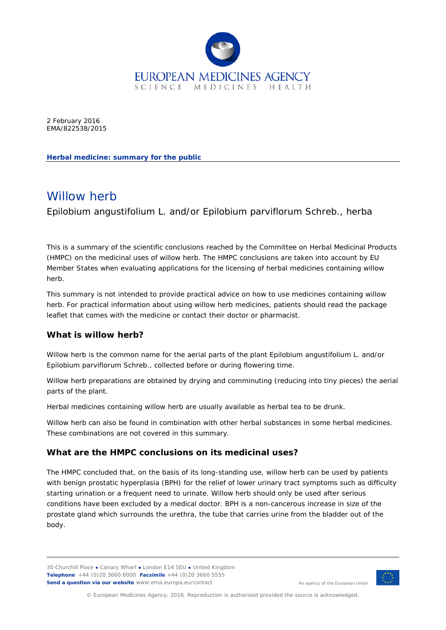

2 February 2016 EMA/822538/2015

**Herbal medicine: summary for the public**

# Willow herb

*Epilobium angustifolium* L. and/or *Epilobium parviflorum* Schreb., herba

This is a summary of the scientific conclusions reached by the Committee on Herbal Medicinal Products (HMPC) on the medicinal uses of willow herb. The HMPC conclusions are taken into account by EU Member States when evaluating applications for the licensing of herbal medicines containing willow herb.

This summary is not intended to provide practical advice on how to use medicines containing willow herb. For practical information about using willow herb medicines, patients should read the package leaflet that comes with the medicine or contact their doctor or pharmacist.

## **What is willow herb?**

Willow herb is the common name for the aerial parts of the plant *Epilobium angustifolium* L. and/or *Epilobium parviflorum* Schreb., collected before or during flowering time.

Willow herb preparations are obtained by drying and comminuting (reducing into tiny pieces) the aerial parts of the plant.

Herbal medicines containing willow herb are usually available as herbal tea to be drunk.

Willow herb can also be found in combination with other herbal substances in some herbal medicines. These combinations are not covered in this summary.

## **What are the HMPC conclusions on its medicinal uses?**

The HMPC concluded that, on the basis of its long-standing use, willow herb can be used by patients with benign prostatic hyperplasia (BPH) for the relief of lower urinary tract symptoms such as difficulty starting urination or a frequent need to urinate. Willow herb should only be used after serious conditions have been excluded by a medical doctor. BPH is a non-cancerous increase in size of the prostate gland which surrounds the urethra, the tube that carries urine from the bladder out of the body.

30 Churchill Place **●** Canary Wharf **●** London E14 5EU **●** United Kingdom **Telephone** +44 (0)20 3660 6000 **Facsimile** +44 (0)20 3660 5555 **Send a question via our website** www.ema.europa.eu/contact



An agency of the European Union

© European Medicines Agency, 2016. Reproduction is authorised provided the source is acknowledged.